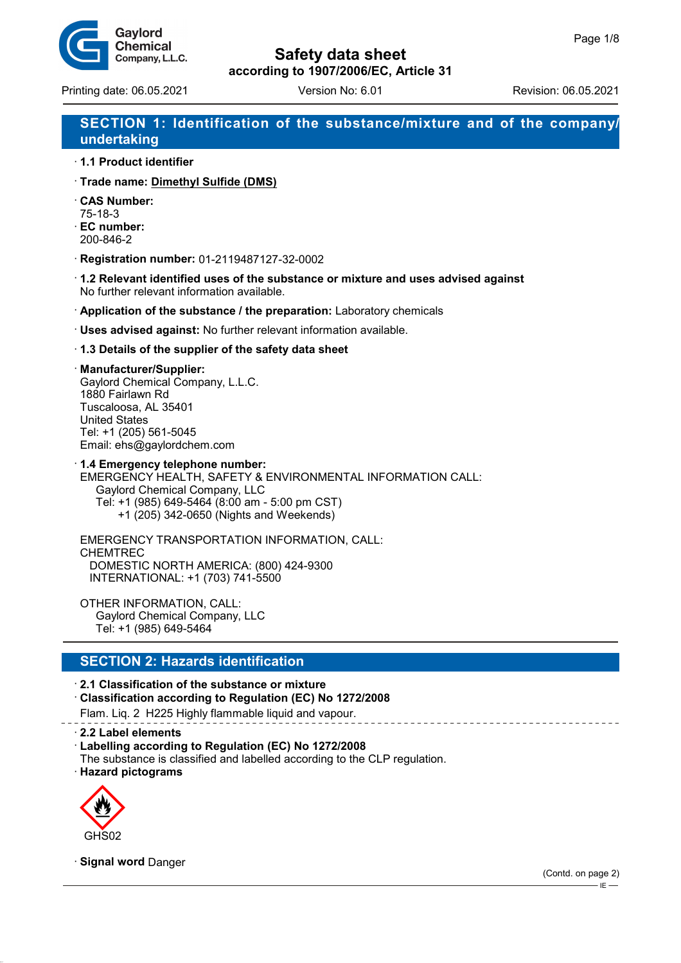

# **Safety data sheet**

**according to 1907/2006/EC, Article 31**

Printing date: 06.05.2021 Version No: 6.01 Revision: 06.05.2021

# **SECTION 1: Identification of the substance/mixture and of the company/ undertaking**

- · **1.1 Product identifier**
- · **Trade name: Dimethyl Sulfide (DMS)**
- · **CAS Number:** 75-18-3
- · **EC number:**
- 200-846-2
- · **Registration number:** 01-2119487127-32-0002
- · **1.2 Relevant identified uses of the substance or mixture and uses advised against** No further relevant information available.
- · **Application of the substance / the preparation:** Laboratory chemicals
- · **Uses advised against:** No further relevant information available.
- · **1.3 Details of the supplier of the safety data sheet**

#### · **Manufacturer/Supplier:**

Gaylord Chemical Company, L.L.C. 1880 Fairlawn Rd Tuscaloosa, AL 35401 United States Tel: +1 (205) 561-5045 Email: ehs@gaylordchem.com

· **1.4 Emergency telephone number:** EMERGENCY HEALTH, SAFETY & ENVIRONMENTAL INFORMATION CALL: Gaylord Chemical Company, LLC Tel: +1 (985) 649-5464 (8:00 am - 5:00 pm CST) +1 (205) 342-0650 (Nights and Weekends)

EMERGENCY TRANSPORTATION INFORMATION, CALL: CHEMTREC DOMESTIC NORTH AMERICA: (800) 424-9300 INTERNATIONAL: +1 (703) 741-5500

OTHER INFORMATION, CALL: Gaylord Chemical Company, LLC Tel: +1 (985) 649-5464

### **SECTION 2: Hazards identification**

· **2.1 Classification of the substance or mixture**

· **Classification according to Regulation (EC) No 1272/2008**

Flam. Liq. 2 H225 Highly flammable liquid and vapour.

· **2.2 Label elements**

- · **Labelling according to Regulation (EC) No 1272/2008**
- The substance is classified and labelled according to the CLP regulation.

· **Hazard pictograms**



· **Signal word** Danger

(Contd. on page 2)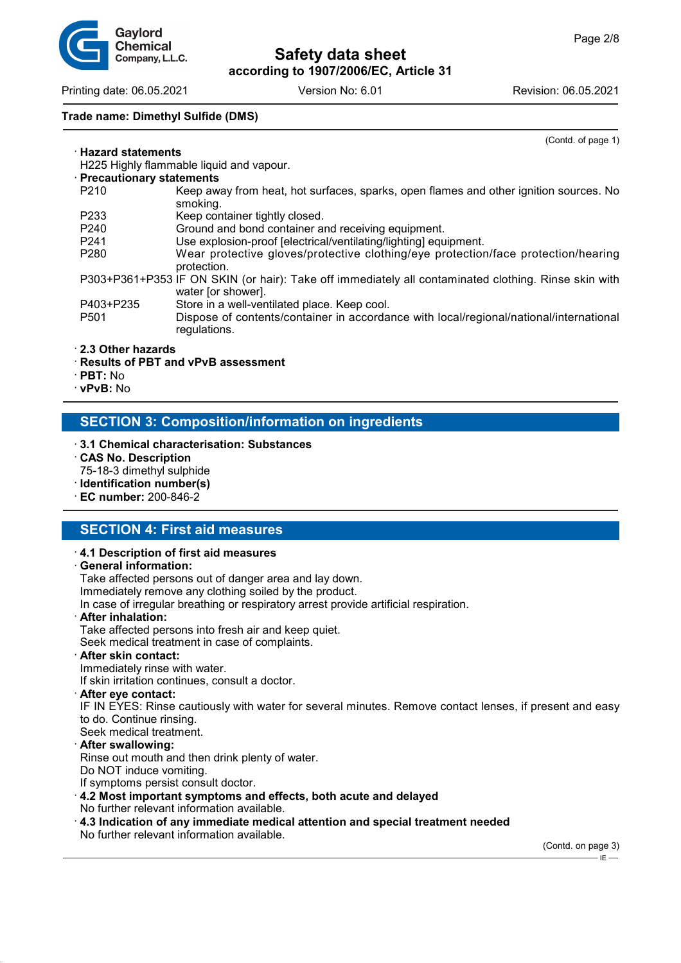Gavlord Chemical Company, L.L.C.

**Safety data sheet according to 1907/2006/EC, Article 31**

Printing date: 06.05.2021 Version No: 6.01 Revision: 06.05.2021

· **Hazard statements**

#### **Trade name: Dimethyl Sulfide (DMS)**

(Contd. of page 1)

| · Hazard statements                      |                                                                                                                                                        |  |  |
|------------------------------------------|--------------------------------------------------------------------------------------------------------------------------------------------------------|--|--|
| H225 Highly flammable liquid and vapour. |                                                                                                                                                        |  |  |
| · Precautionary statements               |                                                                                                                                                        |  |  |
| P <sub>210</sub>                         | Keep away from heat, hot surfaces, sparks, open flames and other ignition sources. No<br>smoking.                                                      |  |  |
| P <sub>2</sub> 33                        | Keep container tightly closed.                                                                                                                         |  |  |
| P <sub>240</sub>                         | Ground and bond container and receiving equipment.                                                                                                     |  |  |
| P <sub>241</sub>                         | Use explosion-proof [electrical/ventilating/lighting] equipment.                                                                                       |  |  |
| P <sub>280</sub>                         | Wear protective gloves/protective clothing/eye protection/face protection/hearing<br>protection.                                                       |  |  |
|                                          | P303+P361+P353 IF ON SKIN (or hair): Take off immediately all contaminated clothing. Rinse skin with<br>water [or shower].                             |  |  |
| P403+P235<br>P <sub>501</sub>            | Store in a well-ventilated place. Keep cool.<br>Dispose of contents/container in accordance with local/regional/national/international<br>regulations. |  |  |

#### · **2.3 Other hazards**

- · **Results of PBT and vPvB assessment**
- · **PBT:** No
- · **vPvB:** No

### **SECTION 3: Composition/information on ingredients**

- · **3.1 Chemical characterisation: Substances**
- · **CAS No. Description**
- 75-18-3 dimethyl sulphide
- · **Identification number(s)**
- · **EC number:** 200-846-2

### **SECTION 4: First aid measures**

#### · **4.1 Description of first aid measures**

#### · **General information:**

Take affected persons out of danger area and lay down. Immediately remove any clothing soiled by the product.

In case of irregular breathing or respiratory arrest provide artificial respiration.

· **After inhalation:**

Take affected persons into fresh air and keep quiet.

Seek medical treatment in case of complaints.

· **After skin contact:**

Immediately rinse with water.

If skin irritation continues, consult a doctor.

· **After eye contact:**

IF IN EYES: Rinse cautiously with water for several minutes. Remove contact lenses, if present and easy to do. Continue rinsing.

Seek medical treatment.

#### · **After swallowing:**

Rinse out mouth and then drink plenty of water.

Do NOT induce vomiting.

If symptoms persist consult doctor.

#### · **4.2 Most important symptoms and effects, both acute and delayed**

- No further relevant information available.
- · **4.3 Indication of any immediate medical attention and special treatment needed** No further relevant information available.

(Contd. on page 3) .<br>IE-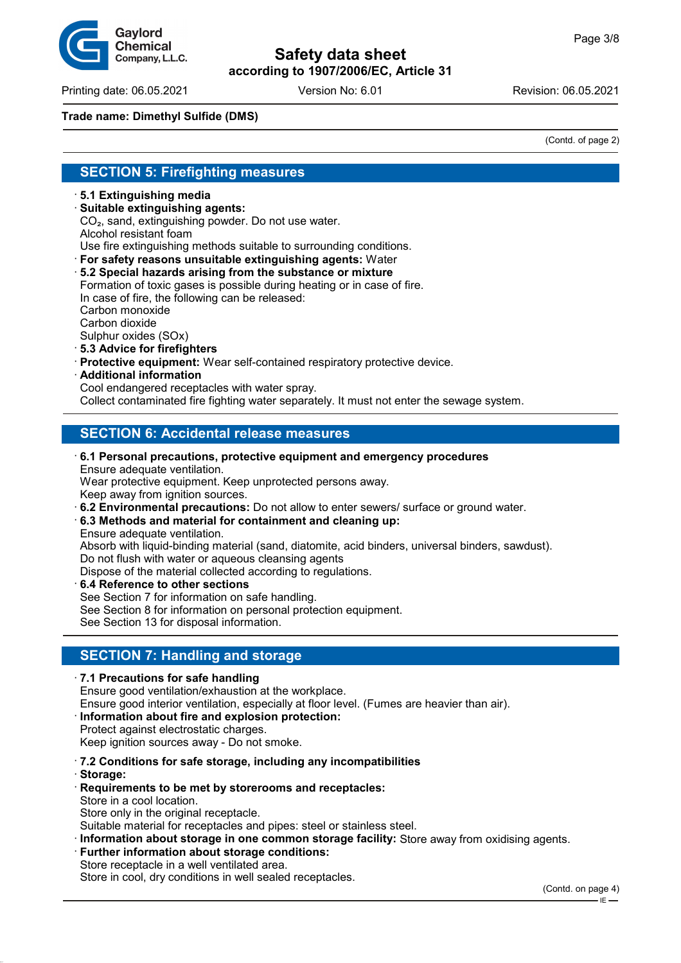

Printing date: 06.05.2021 Version No: 6.01 Revision: 06.05.2021

### **Trade name: Dimethyl Sulfide (DMS)**

(Contd. of page 2)

### **SECTION 5: Firefighting measures**

- · **5.1 Extinguishing media**
- · **Suitable extinguishing agents:**
- CO₂, sand, extinguishing powder. Do not use water.

Alcohol resistant foam

Use fire extinguishing methods suitable to surrounding conditions.

- · **For safety reasons unsuitable extinguishing agents:** Water
- · **5.2 Special hazards arising from the substance or mixture**

Formation of toxic gases is possible during heating or in case of fire. In case of fire, the following can be released:

Carbon monoxide

Carbon dioxide

- Sulphur oxides (SOx)
- · **5.3 Advice for firefighters**
- · **Protective equipment:** Wear self-contained respiratory protective device.
- · **Additional information**

Cool endangered receptacles with water spray.

Collect contaminated fire fighting water separately. It must not enter the sewage system.

# **SECTION 6: Accidental release measures**

· **6.1 Personal precautions, protective equipment and emergency procedures** Ensure adequate ventilation. Wear protective equipment. Keep unprotected persons away.

Keep away from ignition sources.

· **6.2 Environmental precautions:** Do not allow to enter sewers/ surface or ground water.

· **6.3 Methods and material for containment and cleaning up:** Ensure adequate ventilation.

Absorb with liquid-binding material (sand, diatomite, acid binders, universal binders, sawdust). Do not flush with water or aqueous cleansing agents

Dispose of the material collected according to regulations.

· **6.4 Reference to other sections** See Section 7 for information on safe handling. See Section 8 for information on personal protection equipment. See Section 13 for disposal information.

# **SECTION 7: Handling and storage**

· **7.1 Precautions for safe handling** Ensure good ventilation/exhaustion at the workplace. Ensure good interior ventilation, especially at floor level. (Fumes are heavier than air).

#### · **Information about fire and explosion protection:**

- Protect against electrostatic charges. Keep ignition sources away - Do not smoke.
- · **7.2 Conditions for safe storage, including any incompatibilities**
- · **Storage:**
- · **Requirements to be met by storerooms and receptacles:** Store in a cool location. Store only in the original receptacle.

Suitable material for receptacles and pipes: steel or stainless steel.

· **Information about storage in one common storage facility:** Store away from oxidising agents.

**Further information about storage conditions:** Store receptacle in a well ventilated area. Store in cool, dry conditions in well sealed receptacles.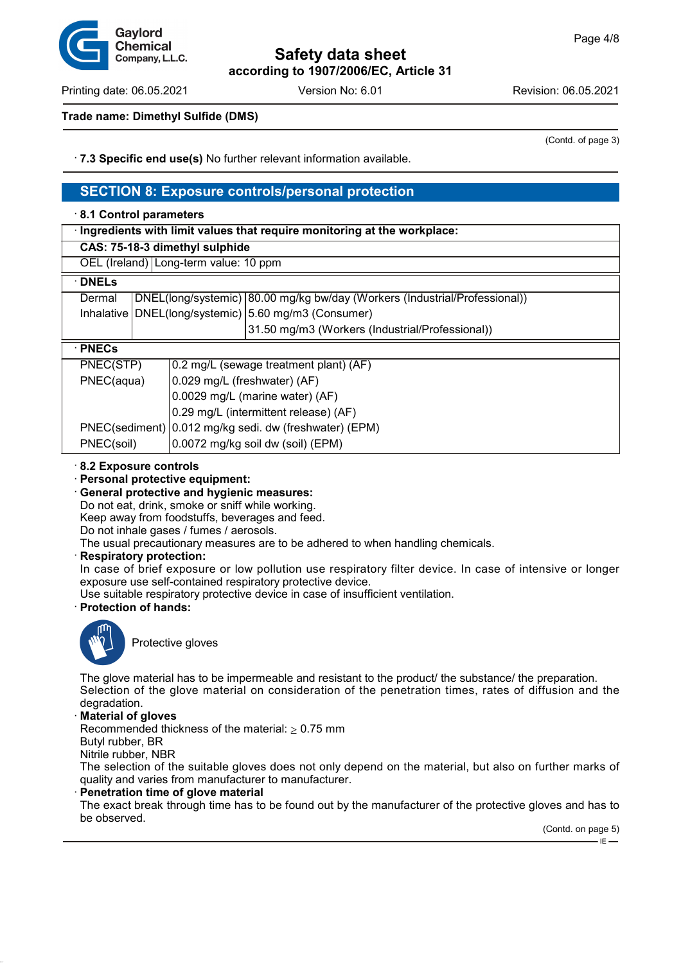

Printing date: 06.05.2021 Version No: 6.01 Revision: 06.05.2021

(Contd. of page 3)

### **Trade name: Dimethyl Sulfide (DMS)**

· **7.3 Specific end use(s)** No further relevant information available.

### **SECTION 8: Exposure controls/personal protection**

# · **8.1 Control parameters** · **Ingredients with limit values that require monitoring at the workplace: CAS: 75-18-3 dimethyl sulphide** OEL (Ireland) Long-term value: 10 ppm · **DNELs** Dermal DNEL(long/systemic) 80.00 mg/kg bw/day (Workers (Industrial/Professional)) Inhalative | DNEL(long/systemic) | 5.60 mg/m3 (Consumer) 31.50 mg/m3 (Workers (Industrial/Professional)) · **PNECs** PNEC(STP) | 0.2 mg/L (sewage treatment plant) (AF) PNEC(aqua) | 0.029 mg/L (freshwater) (AF) 0.0029 mg/L (marine water) (AF) 0.29 mg/L (intermittent release) (AF) PNEC(sediment) 0.012 mg/kg sedi. dw (freshwater) (EPM) PNEC(soil) | 0.0072 mg/kg soil dw (soil) (EPM)

- · **8.2 Exposure controls**
- · **Personal protective equipment:**
- · **General protective and hygienic measures:**

Do not eat, drink, smoke or sniff while working.

Keep away from foodstuffs, beverages and feed.

Do not inhale gases / fumes / aerosols.

The usual precautionary measures are to be adhered to when handling chemicals.

· **Respiratory protection:**

In case of brief exposure or low pollution use respiratory filter device. In case of intensive or longer exposure use self-contained respiratory protective device.

Use suitable respiratory protective device in case of insufficient ventilation.

· **Protection of hands:**



Protective gloves

The glove material has to be impermeable and resistant to the product/ the substance/ the preparation. Selection of the glove material on consideration of the penetration times, rates of diffusion and the degradation.

· **Material of gloves**

Recommended thickness of the material:  $\geq 0.75$  mm

Butyl rubber, BR

Nitrile rubber, NBR

The selection of the suitable gloves does not only depend on the material, but also on further marks of quality and varies from manufacturer to manufacturer.

#### · **Penetration time of glove material**

The exact break through time has to be found out by the manufacturer of the protective gloves and has to be observed.

(Contd. on page 5)

 $\overline{E}$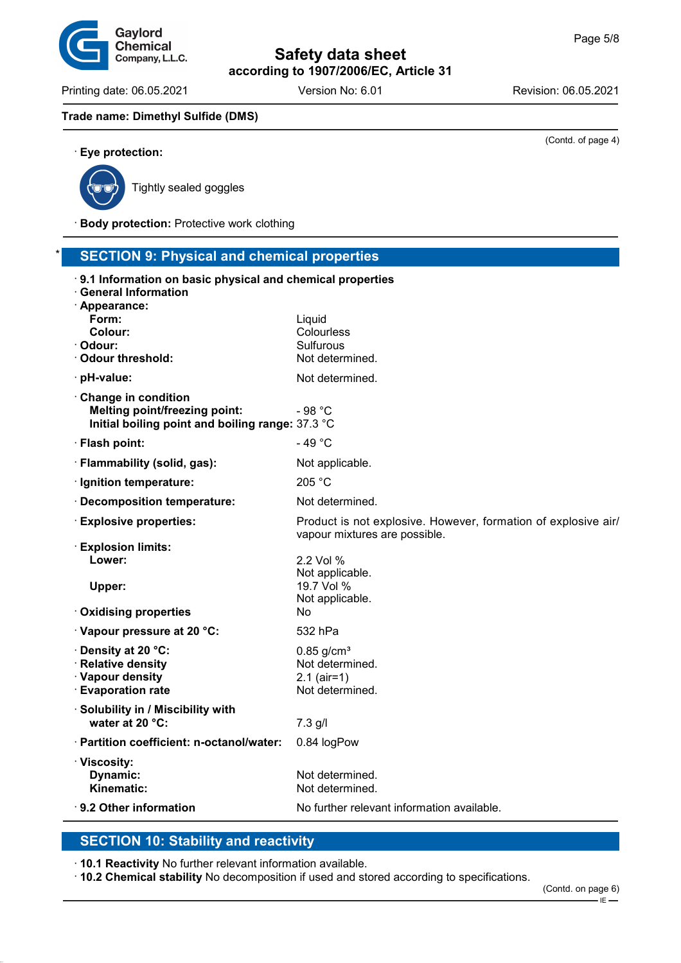Printing date: 06.05.2021 Version No: 6.01 Revision: 06.05.2021

(Contd. of page 4)

#### **Trade name: Dimethyl Sulfide (DMS)**

Gaylord Chemical Company, L.L.C.



· **Eye protection:**

Tightly sealed goggles

· **Body protection:** Protective work clothing

### **SECTION 9: Physical and chemical properties**

| 9.1 Information on basic physical and chemical properties<br><b>General Information</b><br>· Appearance:        |                                                                                                 |
|-----------------------------------------------------------------------------------------------------------------|-------------------------------------------------------------------------------------------------|
| Form:                                                                                                           | Liquid                                                                                          |
| Colour:                                                                                                         | Colourless                                                                                      |
| · Odour:<br>$\cdot$ Odour threshold:                                                                            | <b>Sulfurous</b><br>Not determined.                                                             |
| · pH-value:                                                                                                     | Not determined.                                                                                 |
| Change in condition<br><b>Melting point/freezing point:</b><br>Initial boiling point and boiling range: 37.3 °C | - 98 $°C$                                                                                       |
| · Flash point:                                                                                                  | $-49 °C$                                                                                        |
| · Flammability (solid, gas):                                                                                    | Not applicable.                                                                                 |
| · Ignition temperature:                                                                                         | 205 °C                                                                                          |
| · Decomposition temperature:                                                                                    | Not determined.                                                                                 |
| <b>Explosive properties:</b>                                                                                    | Product is not explosive. However, formation of explosive air/<br>vapour mixtures are possible. |
| $\cdot$ Explosion limits:<br>Lower:<br>Upper:                                                                   | 2.2 Vol %<br>Not applicable.<br>19.7 Vol %                                                      |
| <b>Oxidising properties</b>                                                                                     | Not applicable.<br>No                                                                           |
| Vapour pressure at 20 °C:                                                                                       | 532 hPa                                                                                         |
| Density at 20 °C:<br>· Relative density<br>· Vapour density<br><b>Evaporation rate</b>                          | $0.85$ g/cm <sup>3</sup><br>Not determined.<br>$2.1$ (air=1)<br>Not determined.                 |
| · Solubility in / Miscibility with<br>water at 20 °C:                                                           | 7.3 g/l                                                                                         |
| · Partition coefficient: n-octanol/water:                                                                       | 0.84 logPow                                                                                     |
| · Viscosity:<br>Dynamic:<br>Kinematic:                                                                          | Not determined.<br>Not determined.                                                              |
| 9.2 Other information                                                                                           | No further relevant information available.                                                      |

# **SECTION 10: Stability and reactivity**

· **10.1 Reactivity** No further relevant information available.

· **10.2 Chemical stability** No decomposition if used and stored according to specifications.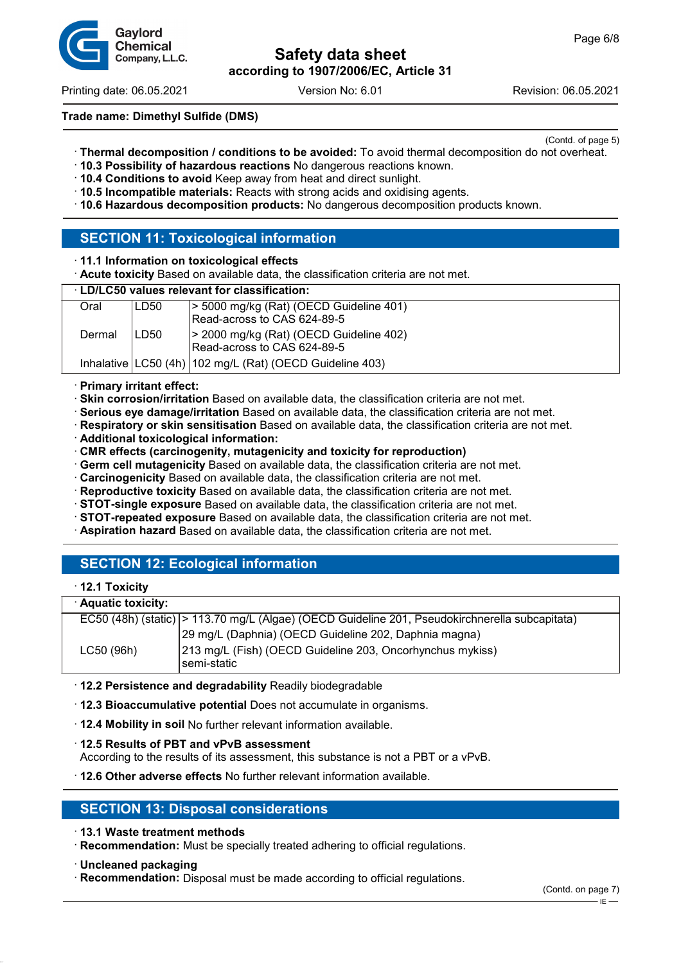

Printing date: 06.05.2021 Version No: 6.01 Revision: 06.05.2021

Gavlord Chemical Company, L.L.C.

### **Trade name: Dimethyl Sulfide (DMS)**

(Contd. of page 5)

- · **Thermal decomposition / conditions to be avoided:** To avoid thermal decomposition do not overheat.
- · **10.3 Possibility of hazardous reactions** No dangerous reactions known.
- · **10.4 Conditions to avoid** Keep away from heat and direct sunlight.
- · **10.5 Incompatible materials:** Reacts with strong acids and oxidising agents.
- · **10.6 Hazardous decomposition products:** No dangerous decomposition products known.

### **SECTION 11: Toxicological information**

- · **11.1 Information on toxicological effects**
- · **Acute toxicity** Based on available data, the classification criteria are not met.

#### · **LD/LC50 values relevant for classification:**

| Oral   | ILD50 | $\ge$ 5000 mg/kg (Rat) (OECD Guideline 401)<br>Read-across to CAS 624-89-5 |
|--------|-------|----------------------------------------------------------------------------|
| Dermal | LD50  | > 2000 mg/kg (Rat) (OECD Guideline 402)<br>Read-across to CAS 624-89-5     |
|        |       | Inhalative   LC50 (4h)   102 mg/L (Rat) (OECD Guideline 403)               |

#### · **Primary irritant effect:**

- · **Skin corrosion/irritation** Based on available data, the classification criteria are not met.
- · **Serious eye damage/irritation** Based on available data, the classification criteria are not met.
- · **Respiratory or skin sensitisation** Based on available data, the classification criteria are not met.
- · **Additional toxicological information:**
- · **CMR effects (carcinogenity, mutagenicity and toxicity for reproduction)**
- · **Germ cell mutagenicity** Based on available data, the classification criteria are not met.
- · **Carcinogenicity** Based on available data, the classification criteria are not met.
- · **Reproductive toxicity** Based on available data, the classification criteria are not met.
- · **STOT-single exposure** Based on available data, the classification criteria are not met.
- · **STOT-repeated exposure** Based on available data, the classification criteria are not met.
- · **Aspiration hazard** Based on available data, the classification criteria are not met.

# **SECTION 12: Ecological information**

#### · **12.1 Toxicity**

| · Aquatic toxicity: |                                                                                                 |  |
|---------------------|-------------------------------------------------------------------------------------------------|--|
|                     | EC50 (48h) (static)  > 113.70 mg/L (Algae) (OECD Guideline 201, Pseudokirchnerella subcapitata) |  |
|                     | 29 mg/L (Daphnia) (OECD Guideline 202, Daphnia magna)                                           |  |
| LC50 (96h)          | 213 mg/L (Fish) (OECD Guideline 203, Oncorhynchus mykiss)<br>l semi-static                      |  |

- · **12.2 Persistence and degradability** Readily biodegradable
- · **12.3 Bioaccumulative potential** Does not accumulate in organisms.
- · **12.4 Mobility in soil** No further relevant information available.

· **12.5 Results of PBT and vPvB assessment**

According to the results of its assessment, this substance is not a PBT or a vPvB.

· **12.6 Other adverse effects** No further relevant information available.

# **SECTION 13: Disposal considerations**

- · **13.1 Waste treatment methods**
- · **Recommendation:** Must be specially treated adhering to official regulations.
- · **Uncleaned packaging**
- · **Recommendation:** Disposal must be made according to official regulations.

 $E$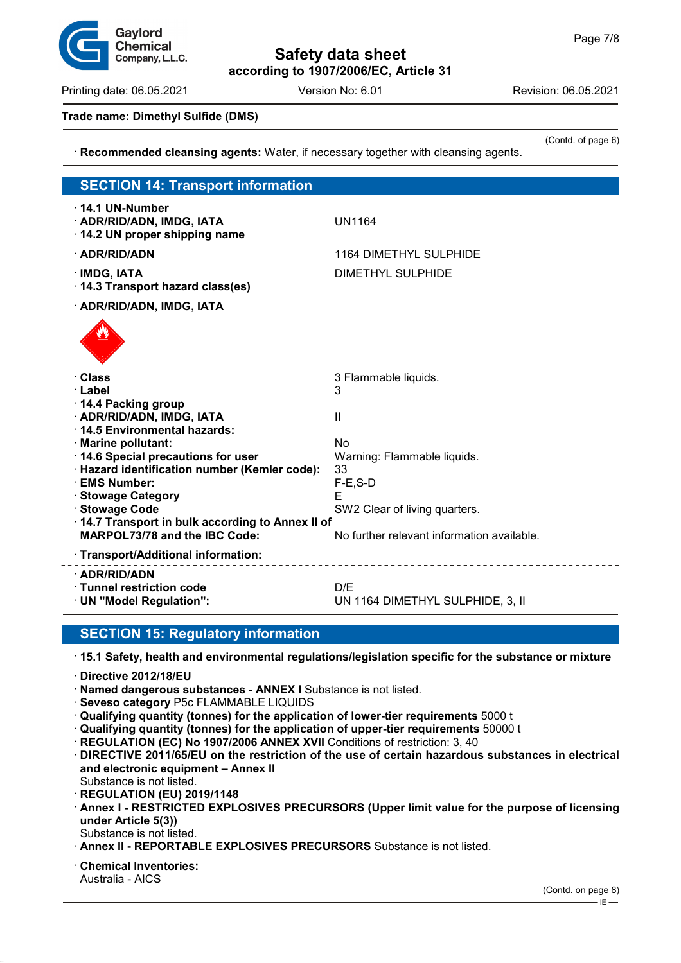Printing date: 06.05.2021 Version No: 6.01 Revision: 06.05.2021

#### **Trade name: Dimethyl Sulfide (DMS)**

(Contd. of page 6) · **Recommended cleansing agents:** Water, if necessary together with cleansing agents. **SECTION 14: Transport information** · **14.1 UN-Number** · **ADR/RID/ADN, IMDG, IATA** UN1164 · **14.2 UN proper shipping name** · **ADR/RID/ADN** 1164 DIMETHYL SULPHIDE · **IMDG, IATA** DIMETHYL SULPHIDE · **14.3 Transport hazard class(es)** · **ADR/RID/ADN, IMDG, IATA** de Cartes · **Class** 3 Flammable liquids. · **Label** 3 · **14.4 Packing group** · **ADR/RID/ADN, IMDG, IATA** II · **14.5 Environmental hazards:** · **Marine pollutant:** No · **14.6 Special precautions for user** Warning: Flammable liquids. · **Hazard identification number (Kemler code):** 33 · **EMS Number:** F-E,S-D · **Stowage Category** E **Stowage Code** SW2 Clear of living quarters. · **14.7 Transport in bulk according to Annex II of MARPOL73/78 and the IBC Code:** No further relevant information available. · **Transport/Additional information:** · **ADR/RID/ADN** · **Tunnel restriction code** D/E UN 1164 DIMETHYL SULPHIDE, 3, II

# **SECTION 15: Regulatory information**

· **15.1 Safety, health and environmental regulations/legislation specific for the substance or mixture**

- · **Directive 2012/18/EU**
- · **Named dangerous substances ANNEX I** Substance is not listed.
- · **Seveso category** P5c FLAMMABLE LIQUIDS
- · **Qualifying quantity (tonnes) for the application of lower-tier requirements** 5000 t
- · **Qualifying quantity (tonnes) for the application of upper-tier requirements** 50000 t
- · **REGULATION (EC) No 1907/2006 ANNEX XVII** Conditions of restriction: 3, 40
- · **DIRECTIVE 2011/65/EU on the restriction of the use of certain hazardous substances in electrical and electronic equipment – Annex II** Substance is not listed.
- · **REGULATION (EU) 2019/1148**
- · **Annex I RESTRICTED EXPLOSIVES PRECURSORS (Upper limit value for the purpose of licensing under Article 5(3))**
- Substance is not listed.
- · **Annex II REPORTABLE EXPLOSIVES PRECURSORS** Substance is not listed.

· **Chemical Inventories:** Australia - AICS